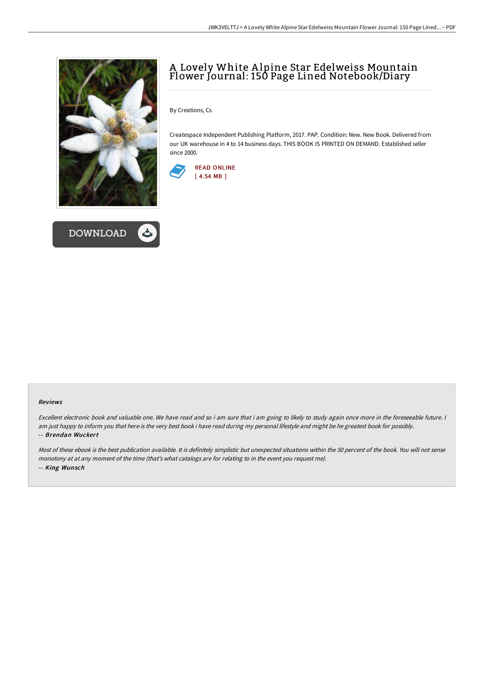



## A Lovely White A lpine Star Edelweiss Mountain Flower Journal: 150 Page Lined Notebook/Diary

By Creations, Cs

Createspace Independent Publishing Platform, 2017. PAP. Condition: New. New Book. Delivered from our UK warehouse in 4 to 14 business days. THIS BOOK IS PRINTED ON DEMAND. Established seller since 2000.



## Reviews

Excellent electronic book and valuable one. We have read and so i am sure that i am going to likely to study again once more in the foreseeable future. <sup>I</sup> am just happy to inform you that here is the very best book i have read during my personal lifestyle and might be he greatest book for possibly. -- Brendan Wuckert

Most of these ebook is the best publication available. It is definitely simplistic but unexpected situations within the 50 percent of the book. You will not sense monotony at at any moment of the time (that's what catalogs are for relating to in the event you request me). -- King Wunsch